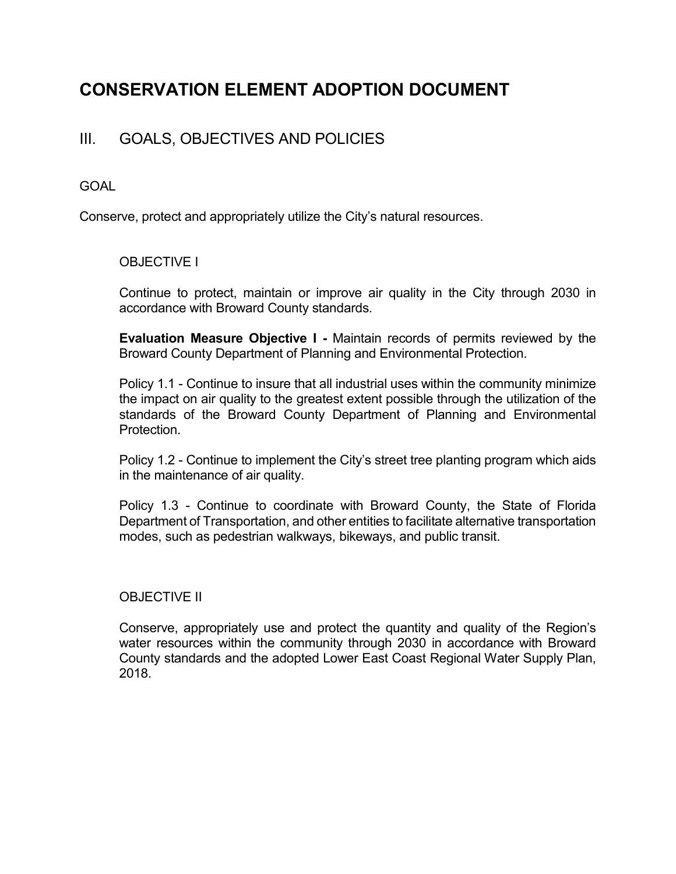# CONSERVATION ELEMENT ADOPTION DOCUMENT

## III. GOALS, OBJECTIVES AND POLICIES

#### GOAL

Conserve, protect and appropriately utilize the City's natural resources.

### OBJECTIVE I

 Continue to protect, maintain or improve air quality in the City through 2030 in accordance with Broward County standards.

Evaluation Measure Objective I - Maintain records of permits reviewed by the Broward County Department of Planning and Environmental Protection.

 Policy 1.1 - Continue to insure that all industrial uses within the community minimize the impact on air quality to the greatest extent possible through the utilization of the standards of the Broward County Department of Planning and Environmental Protection.

 Policy 1.2 - Continue to implement the City's street tree planting program which aids in the maintenance of air quality.

 Policy 1.3 - Continue to coordinate with Broward County, the State of Florida Department of Transportation, and other entities to facilitate alternative transportation modes, such as pedestrian walkways, bikeways, and public transit.

#### OBJECTIVE II

 Conserve, appropriately use and protect the quantity and quality of the Region's water resources within the community through 2030 in accordance with Broward County standards and the adopted Lower East Coast Regional Water Supply Plan, 2018.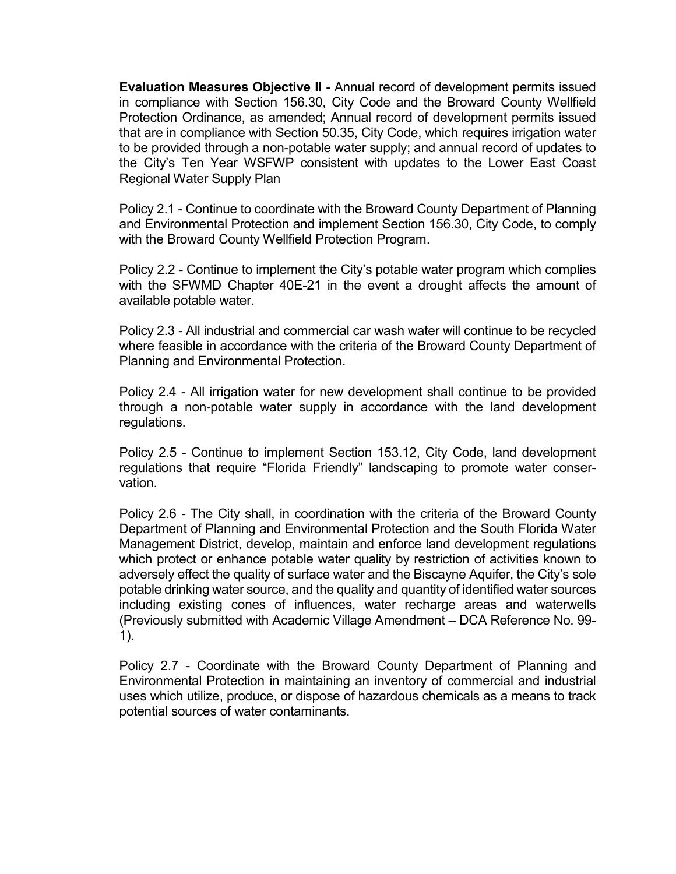Evaluation Measures Objective II - Annual record of development permits issued in compliance with Section 156.30, City Code and the Broward County Wellfield Protection Ordinance, as amended; Annual record of development permits issued that are in compliance with Section 50.35, City Code, which requires irrigation water to be provided through a non-potable water supply; and annual record of updates to the City's Ten Year WSFWP consistent with updates to the Lower East Coast Regional Water Supply Plan

 Policy 2.1 - Continue to coordinate with the Broward County Department of Planning and Environmental Protection and implement Section 156.30, City Code, to comply with the Broward County Wellfield Protection Program.

 Policy 2.2 - Continue to implement the City's potable water program which complies with the SFWMD Chapter 40E-21 in the event a drought affects the amount of available potable water.

 Policy 2.3 - All industrial and commercial car wash water will continue to be recycled where feasible in accordance with the criteria of the Broward County Department of Planning and Environmental Protection.

 Policy 2.4 - All irrigation water for new development shall continue to be provided through a non-potable water supply in accordance with the land development regulations.

 Policy 2.5 - Continue to implement Section 153.12, City Code, land development regulations that require "Florida Friendly" landscaping to promote water conservation.

 Policy 2.6 - The City shall, in coordination with the criteria of the Broward County Department of Planning and Environmental Protection and the South Florida Water Management District, develop, maintain and enforce land development regulations which protect or enhance potable water quality by restriction of activities known to adversely effect the quality of surface water and the Biscayne Aquifer, the City's sole potable drinking water source, and the quality and quantity of identified water sources including existing cones of influences, water recharge areas and waterwells (Previously submitted with Academic Village Amendment – DCA Reference No. 99- 1).

 Policy 2.7 - Coordinate with the Broward County Department of Planning and Environmental Protection in maintaining an inventory of commercial and industrial uses which utilize, produce, or dispose of hazardous chemicals as a means to track potential sources of water contaminants.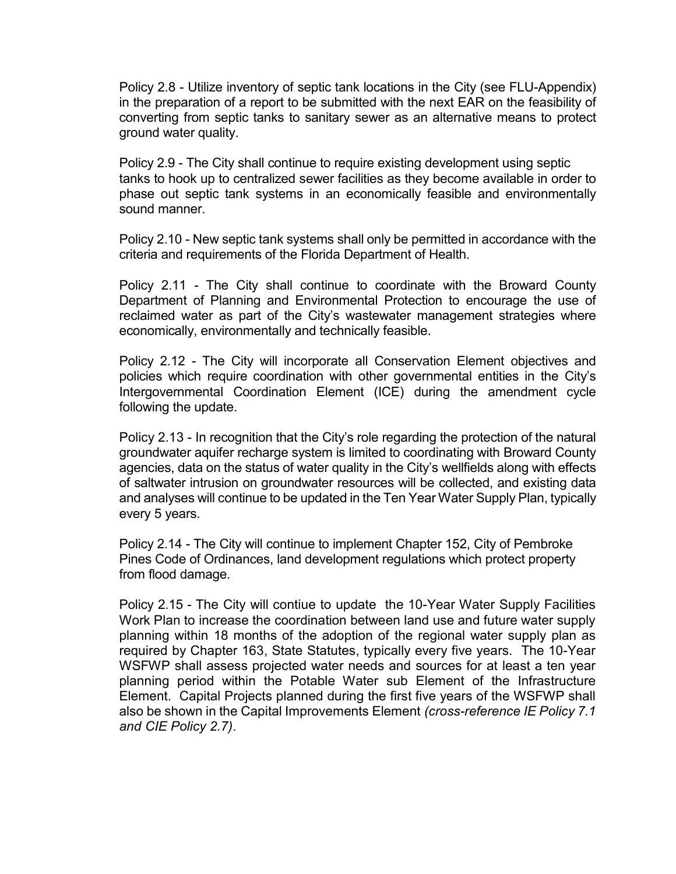Policy 2.8 - Utilize inventory of septic tank locations in the City (see FLU-Appendix) in the preparation of a report to be submitted with the next EAR on the feasibility of converting from septic tanks to sanitary sewer as an alternative means to protect ground water quality.

 Policy 2.9 - The City shall continue to require existing development using septic tanks to hook up to centralized sewer facilities as they become available in order to phase out septic tank systems in an economically feasible and environmentally sound manner.

 Policy 2.10 - New septic tank systems shall only be permitted in accordance with the criteria and requirements of the Florida Department of Health.

 Policy 2.11 - The City shall continue to coordinate with the Broward County Department of Planning and Environmental Protection to encourage the use of reclaimed water as part of the City's wastewater management strategies where economically, environmentally and technically feasible.

 Policy 2.12 - The City will incorporate all Conservation Element objectives and policies which require coordination with other governmental entities in the City's Intergovernmental Coordination Element (ICE) during the amendment cycle following the update.

 Policy 2.13 - In recognition that the City's role regarding the protection of the natural groundwater aquifer recharge system is limited to coordinating with Broward County agencies, data on the status of water quality in the City's wellfields along with effects of saltwater intrusion on groundwater resources will be collected, and existing data and analyses will continue to be updated in the Ten Year Water Supply Plan, typically every 5 years.

 Policy 2.14 - The City will continue to implement Chapter 152, City of Pembroke Pines Code of Ordinances, land development regulations which protect property from flood damage.

Policy 2.15 - The City will contiue to update the 10-Year Water Supply Facilities Work Plan to increase the coordination between land use and future water supply planning within 18 months of the adoption of the regional water supply plan as required by Chapter 163, State Statutes, typically every five years. The 10-Year WSFWP shall assess projected water needs and sources for at least a ten year planning period within the Potable Water sub Element of the Infrastructure Element. Capital Projects planned during the first five years of the WSFWP shall also be shown in the Capital Improvements Element (cross-reference IE Policy 7.1 and CIE Policy 2.7).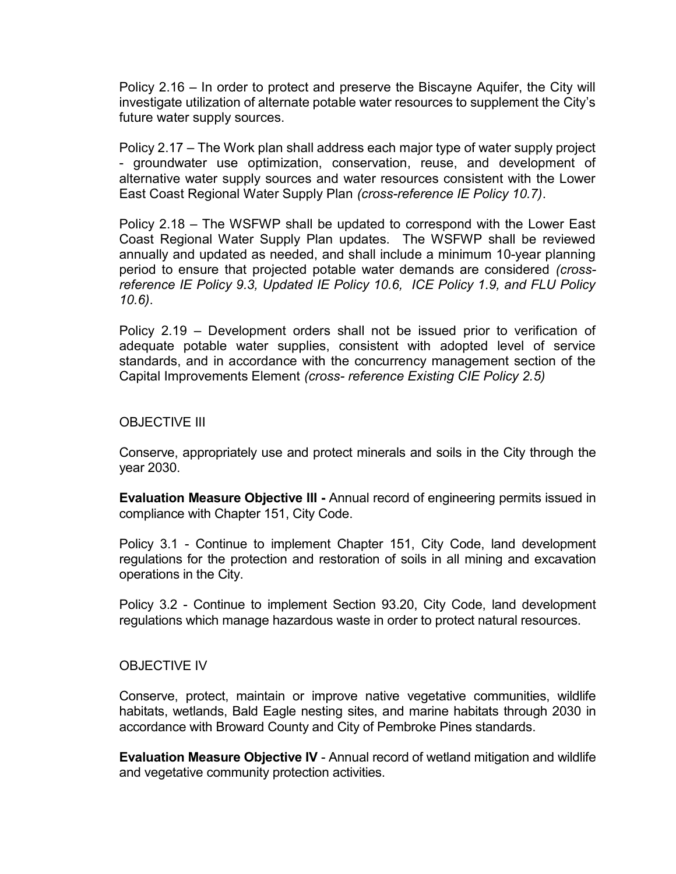Policy 2.16 – In order to protect and preserve the Biscayne Aquifer, the City will investigate utilization of alternate potable water resources to supplement the City's future water supply sources.

Policy 2.17 – The Work plan shall address each major type of water supply project - groundwater use optimization, conservation, reuse, and development of alternative water supply sources and water resources consistent with the Lower East Coast Regional Water Supply Plan (cross-reference IE Policy 10.7).

Policy 2.18 – The WSFWP shall be updated to correspond with the Lower East Coast Regional Water Supply Plan updates. The WSFWP shall be reviewed annually and updated as needed, and shall include a minimum 10-year planning period to ensure that projected potable water demands are considered (crossreference IE Policy 9.3, Updated IE Policy 10.6, ICE Policy 1.9, and FLU Policy 10.6).

Policy 2.19 – Development orders shall not be issued prior to verification of adequate potable water supplies, consistent with adopted level of service standards, and in accordance with the concurrency management section of the Capital Improvements Element (cross- reference Existing CIE Policy 2.5)

#### OBJECTIVE III

 Conserve, appropriately use and protect minerals and soils in the City through the year 2030.

Evaluation Measure Objective III - Annual record of engineering permits issued in compliance with Chapter 151, City Code.

 Policy 3.1 - Continue to implement Chapter 151, City Code, land development regulations for the protection and restoration of soils in all mining and excavation operations in the City.

 Policy 3.2 - Continue to implement Section 93.20, City Code, land development regulations which manage hazardous waste in order to protect natural resources.

#### OBJECTIVE IV

Conserve, protect, maintain or improve native vegetative communities, wildlife habitats, wetlands, Bald Eagle nesting sites, and marine habitats through 2030 in accordance with Broward County and City of Pembroke Pines standards.

Evaluation Measure Objective IV - Annual record of wetland mitigation and wildlife and vegetative community protection activities.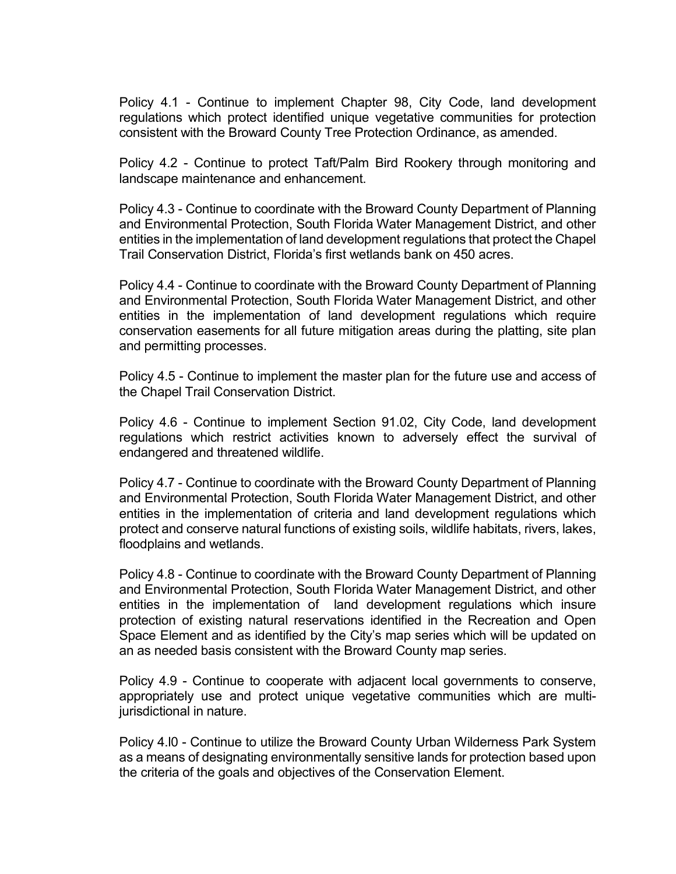Policy 4.1 - Continue to implement Chapter 98, City Code, land development regulations which protect identified unique vegetative communities for protection consistent with the Broward County Tree Protection Ordinance, as amended.

 Policy 4.2 - Continue to protect Taft/Palm Bird Rookery through monitoring and landscape maintenance and enhancement.

 Policy 4.3 - Continue to coordinate with the Broward County Department of Planning and Environmental Protection, South Florida Water Management District, and other entities in the implementation of land development regulations that protect the Chapel Trail Conservation District, Florida's first wetlands bank on 450 acres.

 Policy 4.4 - Continue to coordinate with the Broward County Department of Planning and Environmental Protection, South Florida Water Management District, and other entities in the implementation of land development regulations which require conservation easements for all future mitigation areas during the platting, site plan and permitting processes.

 Policy 4.5 - Continue to implement the master plan for the future use and access of the Chapel Trail Conservation District.

 Policy 4.6 - Continue to implement Section 91.02, City Code, land development regulations which restrict activities known to adversely effect the survival of endangered and threatened wildlife.

 Policy 4.7 - Continue to coordinate with the Broward County Department of Planning and Environmental Protection, South Florida Water Management District, and other entities in the implementation of criteria and land development regulations which protect and conserve natural functions of existing soils, wildlife habitats, rivers, lakes, floodplains and wetlands.

 Policy 4.8 - Continue to coordinate with the Broward County Department of Planning and Environmental Protection, South Florida Water Management District, and other entities in the implementation of land development regulations which insure protection of existing natural reservations identified in the Recreation and Open Space Element and as identified by the City's map series which will be updated on an as needed basis consistent with the Broward County map series.

 Policy 4.9 - Continue to cooperate with adjacent local governments to conserve, appropriately use and protect unique vegetative communities which are multijurisdictional in nature.

 Policy 4.l0 - Continue to utilize the Broward County Urban Wilderness Park System as a means of designating environmentally sensitive lands for protection based upon the criteria of the goals and objectives of the Conservation Element.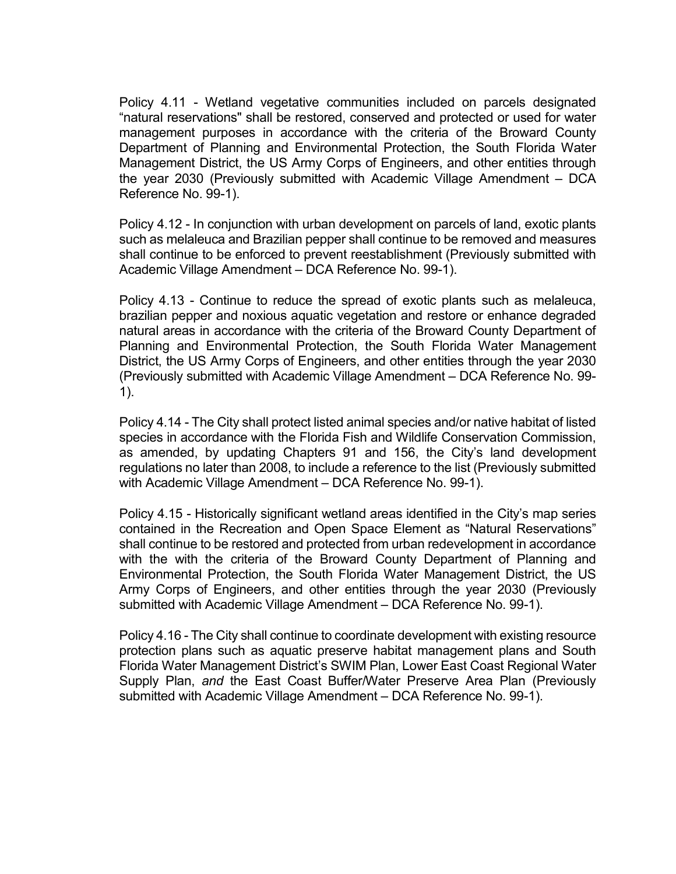Policy 4.11 - Wetland vegetative communities included on parcels designated "natural reservations" shall be restored, conserved and protected or used for water management purposes in accordance with the criteria of the Broward County Department of Planning and Environmental Protection, the South Florida Water Management District, the US Army Corps of Engineers, and other entities through the year 2030 (Previously submitted with Academic Village Amendment – DCA Reference No. 99-1).

 Policy 4.12 - In conjunction with urban development on parcels of land, exotic plants such as melaleuca and Brazilian pepper shall continue to be removed and measures shall continue to be enforced to prevent reestablishment (Previously submitted with Academic Village Amendment – DCA Reference No. 99-1).

 Policy 4.13 - Continue to reduce the spread of exotic plants such as melaleuca, brazilian pepper and noxious aquatic vegetation and restore or enhance degraded natural areas in accordance with the criteria of the Broward County Department of Planning and Environmental Protection, the South Florida Water Management District, the US Army Corps of Engineers, and other entities through the year 2030 (Previously submitted with Academic Village Amendment – DCA Reference No. 99- 1).

 Policy 4.14 - The City shall protect listed animal species and/or native habitat of listed species in accordance with the Florida Fish and Wildlife Conservation Commission, as amended, by updating Chapters 91 and 156, the City's land development regulations no later than 2008, to include a reference to the list (Previously submitted with Academic Village Amendment – DCA Reference No. 99-1).

 Policy 4.15 - Historically significant wetland areas identified in the City's map series contained in the Recreation and Open Space Element as "Natural Reservations" shall continue to be restored and protected from urban redevelopment in accordance with the with the criteria of the Broward County Department of Planning and Environmental Protection, the South Florida Water Management District, the US Army Corps of Engineers, and other entities through the year 2030 (Previously submitted with Academic Village Amendment – DCA Reference No. 99-1).

 Policy 4.16 - The City shall continue to coordinate development with existing resource protection plans such as aquatic preserve habitat management plans and South Florida Water Management District's SWIM Plan, Lower East Coast Regional Water Supply Plan, and the East Coast Buffer/Water Preserve Area Plan (Previously submitted with Academic Village Amendment – DCA Reference No. 99-1).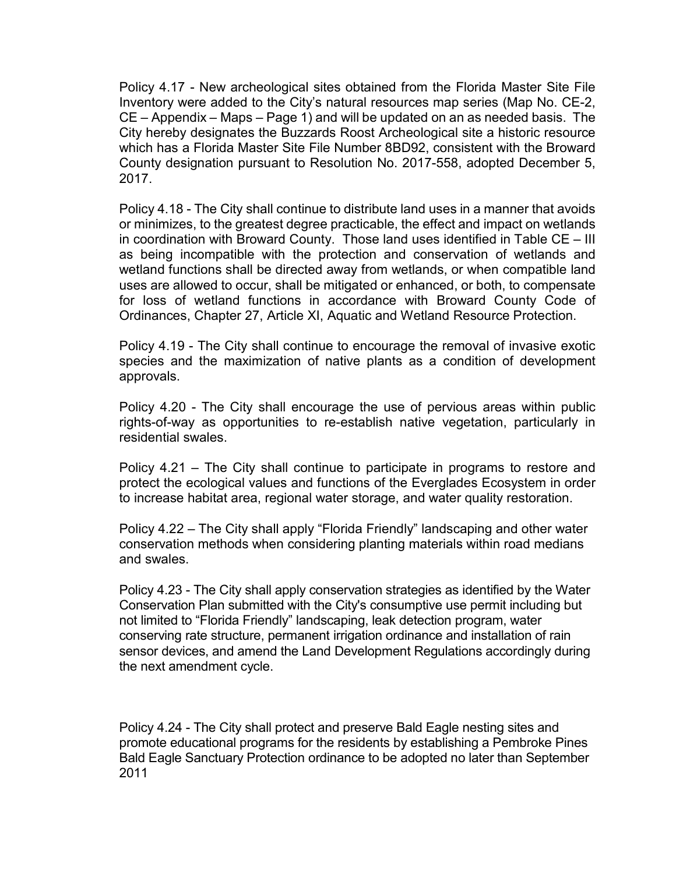Policy 4.17 - New archeological sites obtained from the Florida Master Site File Inventory were added to the City's natural resources map series (Map No. CE-2, CE – Appendix – Maps – Page 1) and will be updated on an as needed basis. The City hereby designates the Buzzards Roost Archeological site a historic resource which has a Florida Master Site File Number 8BD92, consistent with the Broward County designation pursuant to Resolution No. 2017-558, adopted December 5, 2017.

 Policy 4.18 - The City shall continue to distribute land uses in a manner that avoids or minimizes, to the greatest degree practicable, the effect and impact on wetlands in coordination with Broward County. Those land uses identified in Table CE – III as being incompatible with the protection and conservation of wetlands and wetland functions shall be directed away from wetlands, or when compatible land uses are allowed to occur, shall be mitigated or enhanced, or both, to compensate for loss of wetland functions in accordance with Broward County Code of Ordinances, Chapter 27, Article XI, Aquatic and Wetland Resource Protection.

 Policy 4.19 - The City shall continue to encourage the removal of invasive exotic species and the maximization of native plants as a condition of development approvals.

 Policy 4.20 - The City shall encourage the use of pervious areas within public rights-of-way as opportunities to re-establish native vegetation, particularly in residential swales.

 Policy 4.21 – The City shall continue to participate in programs to restore and protect the ecological values and functions of the Everglades Ecosystem in order to increase habitat area, regional water storage, and water quality restoration.

Policy 4.22 – The City shall apply "Florida Friendly" landscaping and other water conservation methods when considering planting materials within road medians and swales.

Policy 4.23 - The City shall apply conservation strategies as identified by the Water Conservation Plan submitted with the City's consumptive use permit including but not limited to "Florida Friendly" landscaping, leak detection program, water conserving rate structure, permanent irrigation ordinance and installation of rain sensor devices, and amend the Land Development Regulations accordingly during the next amendment cycle.

Policy 4.24 - The City shall protect and preserve Bald Eagle nesting sites and promote educational programs for the residents by establishing a Pembroke Pines Bald Eagle Sanctuary Protection ordinance to be adopted no later than September 2011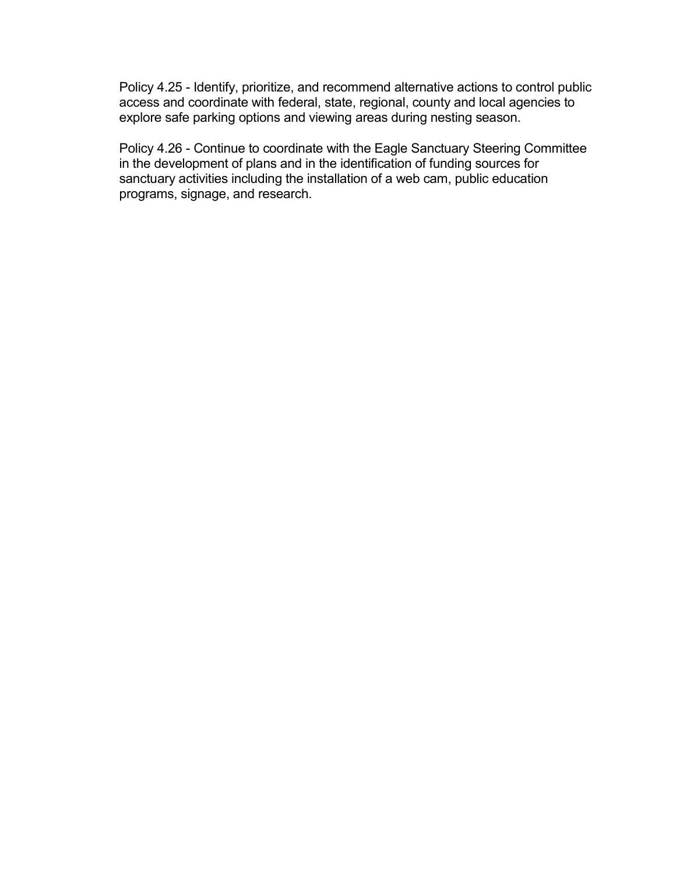Policy 4.25 - Identify, prioritize, and recommend alternative actions to control public access and coordinate with federal, state, regional, county and local agencies to explore safe parking options and viewing areas during nesting season.

Policy 4.26 - Continue to coordinate with the Eagle Sanctuary Steering Committee in the development of plans and in the identification of funding sources for sanctuary activities including the installation of a web cam, public education programs, signage, and research.